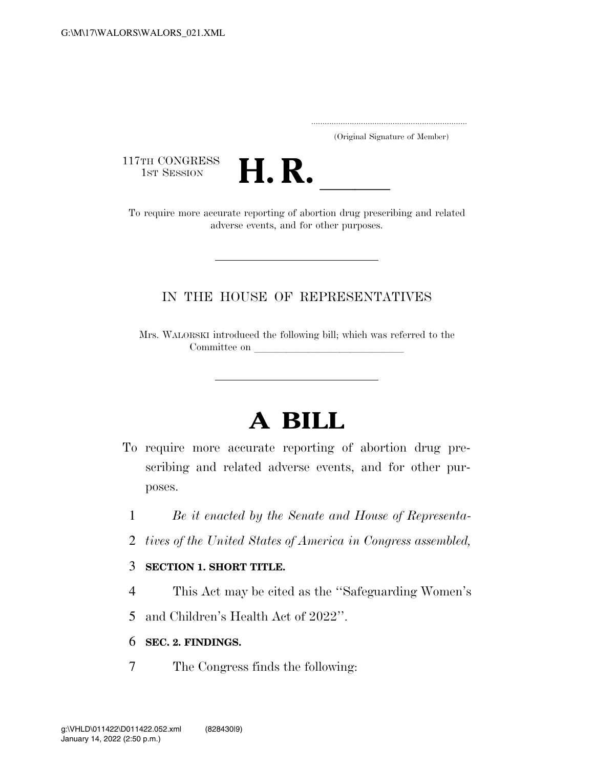..................................................................... (Original Signature of Member)

117TH CONGRESS<br>1st Session



17TH CONGRESS<br>1st SESSION **H. R.** <u>Internative reporting</u> of abortion drug prescribing and related adverse events, and for other purposes.

## IN THE HOUSE OF REPRESENTATIVES

Mrs. WALORSKI introduced the following bill; which was referred to the Committee on

## **A BILL**

- To require more accurate reporting of abortion drug prescribing and related adverse events, and for other purposes.
	- 1 *Be it enacted by the Senate and House of Representa-*
	- 2 *tives of the United States of America in Congress assembled,*

## 3 **SECTION 1. SHORT TITLE.**

- 4 This Act may be cited as the ''Safeguarding Women's
- 5 and Children's Health Act of 2022''.

## 6 **SEC. 2. FINDINGS.**

7 The Congress finds the following: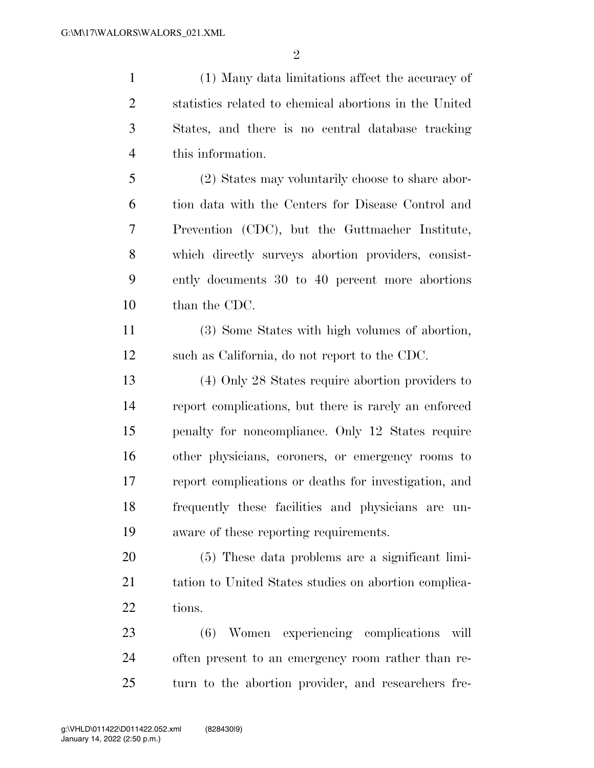$\mathfrak{D}$ 

 (1) Many data limitations affect the accuracy of statistics related to chemical abortions in the United States, and there is no central database tracking this information.

 (2) States may voluntarily choose to share abor- tion data with the Centers for Disease Control and Prevention (CDC), but the Guttmacher Institute, which directly surveys abortion providers, consist- ently documents 30 to 40 percent more abortions than the CDC.

 (3) Some States with high volumes of abortion, such as California, do not report to the CDC.

 (4) Only 28 States require abortion providers to report complications, but there is rarely an enforced penalty for noncompliance. Only 12 States require other physicians, coroners, or emergency rooms to report complications or deaths for investigation, and frequently these facilities and physicians are un-aware of these reporting requirements.

 (5) These data problems are a significant limi-21 tation to United States studies on abortion complica-22 tions.

 (6) Women experiencing complications will often present to an emergency room rather than re-turn to the abortion provider, and researchers fre-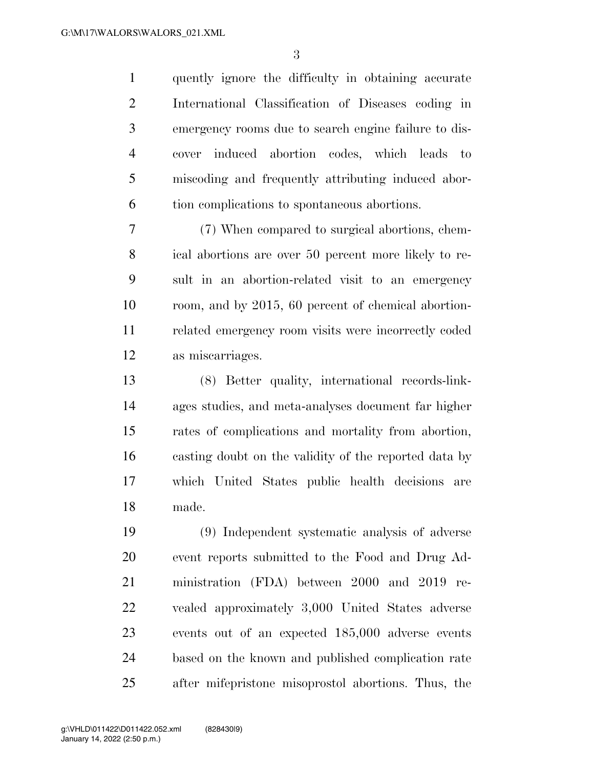quently ignore the difficulty in obtaining accurate International Classification of Diseases coding in emergency rooms due to search engine failure to dis- cover induced abortion codes, which leads to miscoding and frequently attributing induced abor-tion complications to spontaneous abortions.

 (7) When compared to surgical abortions, chem- ical abortions are over 50 percent more likely to re- sult in an abortion-related visit to an emergency room, and by 2015, 60 percent of chemical abortion- related emergency room visits were incorrectly coded as miscarriages.

 (8) Better quality, international records-link- ages studies, and meta-analyses document far higher rates of complications and mortality from abortion, casting doubt on the validity of the reported data by which United States public health decisions are made.

 (9) Independent systematic analysis of adverse event reports submitted to the Food and Drug Ad- ministration (FDA) between 2000 and 2019 re- vealed approximately 3,000 United States adverse events out of an expected 185,000 adverse events based on the known and published complication rate after mifepristone misoprostol abortions. Thus, the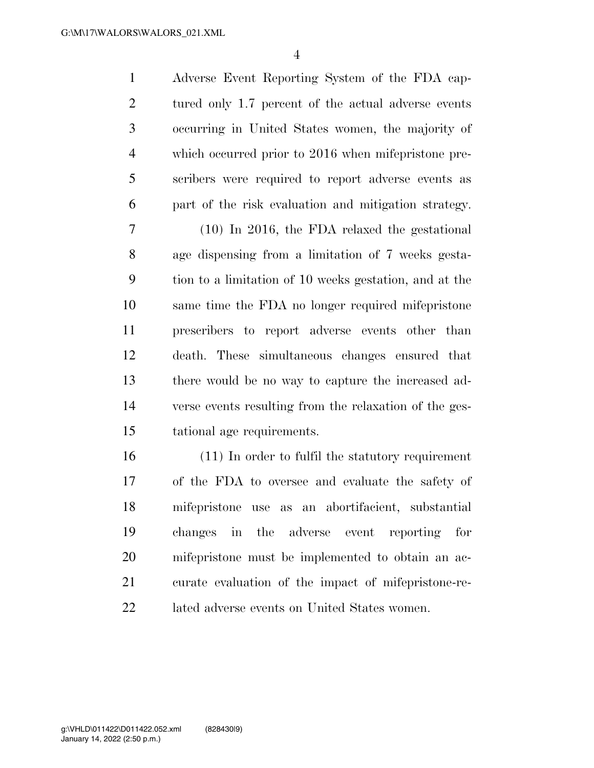Adverse Event Reporting System of the FDA cap-2 tured only 1.7 percent of the actual adverse events occurring in United States women, the majority of which occurred prior to 2016 when mifepristone pre- scribers were required to report adverse events as part of the risk evaluation and mitigation strategy.

 (10) In 2016, the FDA relaxed the gestational age dispensing from a limitation of 7 weeks gesta- tion to a limitation of 10 weeks gestation, and at the same time the FDA no longer required mifepristone prescribers to report adverse events other than death. These simultaneous changes ensured that there would be no way to capture the increased ad- verse events resulting from the relaxation of the ges-tational age requirements.

 (11) In order to fulfil the statutory requirement of the FDA to oversee and evaluate the safety of mifepristone use as an abortifacient, substantial changes in the adverse event reporting for mifepristone must be implemented to obtain an ac- curate evaluation of the impact of mifepristone-re-lated adverse events on United States women.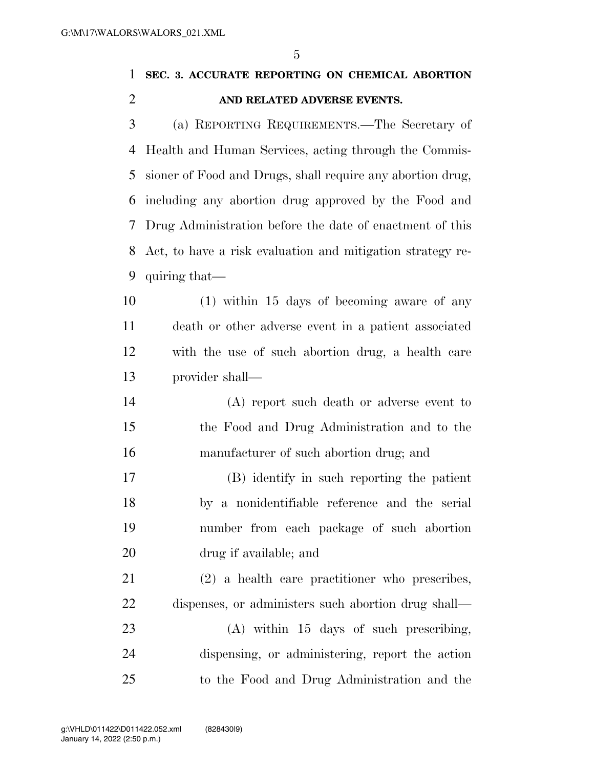$\overline{a}$ 

| $\mathfrak{b}$<br>SEC. 3. ACCURATE REPORTING ON CHEMICAL ABORTION |
|-------------------------------------------------------------------|
| AND RELATED ADVERSE EVENTS.                                       |
| (a) REPORTING REQUIREMENTS.—The Secretary of                      |
| Health and Human Services, acting through the Commis-             |
| sioner of Food and Drugs, shall require any abortion drug,        |
| including any abortion drug approved by the Food and              |
| Drug Administration before the date of enactment of this          |
| Act, to have a risk evaluation and mitigation strategy re-        |
| quiring that—                                                     |
| $(1)$ within 15 days of becoming aware of any                     |
| death or other adverse event in a patient associated              |
| with the use of such abortion drug, a health care                 |
| provider shall—                                                   |
| (A) report such death or adverse event to                         |
| the Food and Drug Administration and to the                       |
| manufacturer of such abortion drug; and                           |
| (B) identify in such reporting the patient                        |
| by a nonidentifiable reference and the serial                     |
| number from each package of such abortion                         |
|                                                                   |

 (2) a health care practitioner who prescribes, dispenses, or administers such abortion drug shall—

drug if available; and

 (A) within 15 days of such prescribing, dispensing, or administering, report the action to the Food and Drug Administration and the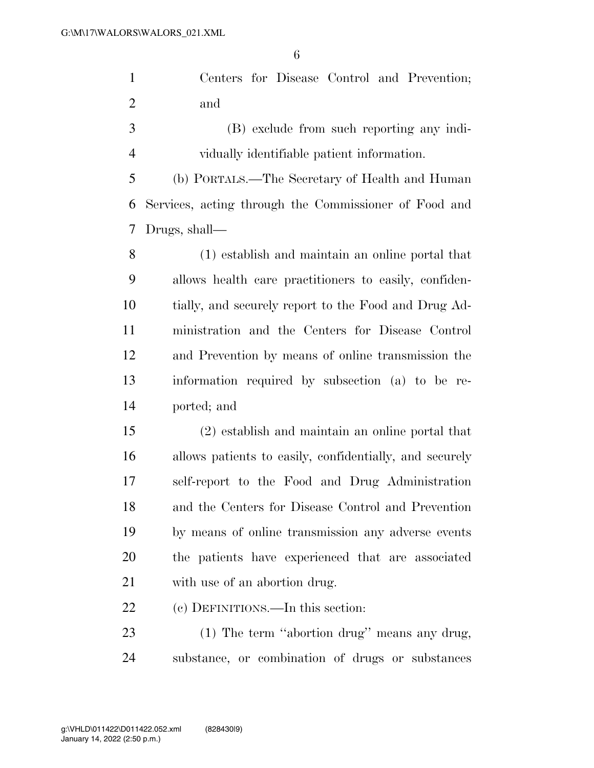|     |  |  | Centers for Disease Control and Prevention; |
|-----|--|--|---------------------------------------------|
| and |  |  |                                             |

 (B) exclude from such reporting any indi-vidually identifiable patient information.

 (b) PORTALS.—The Secretary of Health and Human Services, acting through the Commissioner of Food and Drugs, shall—

 (1) establish and maintain an online portal that allows health care practitioners to easily, confiden- tially, and securely report to the Food and Drug Ad- ministration and the Centers for Disease Control and Prevention by means of online transmission the information required by subsection (a) to be re-ported; and

 (2) establish and maintain an online portal that allows patients to easily, confidentially, and securely self-report to the Food and Drug Administration and the Centers for Disease Control and Prevention by means of online transmission any adverse events the patients have experienced that are associated with use of an abortion drug.

(c) DEFINITIONS.—In this section:

 (1) The term ''abortion drug'' means any drug, substance, or combination of drugs or substances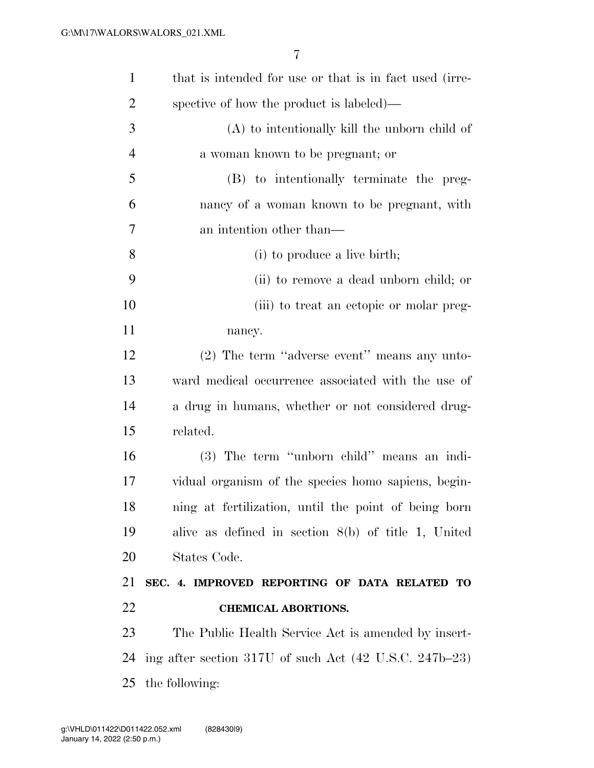| $\mathbf{1}$   | that is intended for use or that is in fact used (irre-                    |
|----------------|----------------------------------------------------------------------------|
| $\overline{2}$ | spective of how the product is labeled)—                                   |
| 3              | $(A)$ to intentionally kill the unborn child of                            |
| $\overline{4}$ | a woman known to be pregnant; or                                           |
| 5              | (B) to intentionally terminate the preg-                                   |
| 6              | nancy of a woman known to be pregnant, with                                |
| 7              | an intention other than—                                                   |
| 8              | (i) to produce a live birth;                                               |
| 9              | (ii) to remove a dead unborn child; or                                     |
| 10             | (iii) to treat an ectopic or molar preg-                                   |
| 11             | nancy.                                                                     |
| 12             | (2) The term "adverse event" means any unto-                               |
| 13             | ward medical occurrence associated with the use of                         |
| 14             | a drug in humans, whether or not considered drug-                          |
| 15             | related.                                                                   |
| 16             | (3) The term "unborn child" means an indi-                                 |
| 17             | vidual organism of the species homo sapiens, begin-                        |
| 18             | ning at fertilization, until the point of being born                       |
| 19             | alive as defined in section $8(b)$ of title 1, United                      |
| 20             | States Code.                                                               |
| 21             | SEC. 4. IMPROVED REPORTING OF DATA RELATED TO                              |
| 22             | <b>CHEMICAL ABORTIONS.</b>                                                 |
| 23             | The Public Health Service Act is amended by insert-                        |
| 24             | ing after section 317U of such Act $(42 \text{ U.S.C. } 247\text{b} - 23)$ |
| 25             | the following:                                                             |
|                |                                                                            |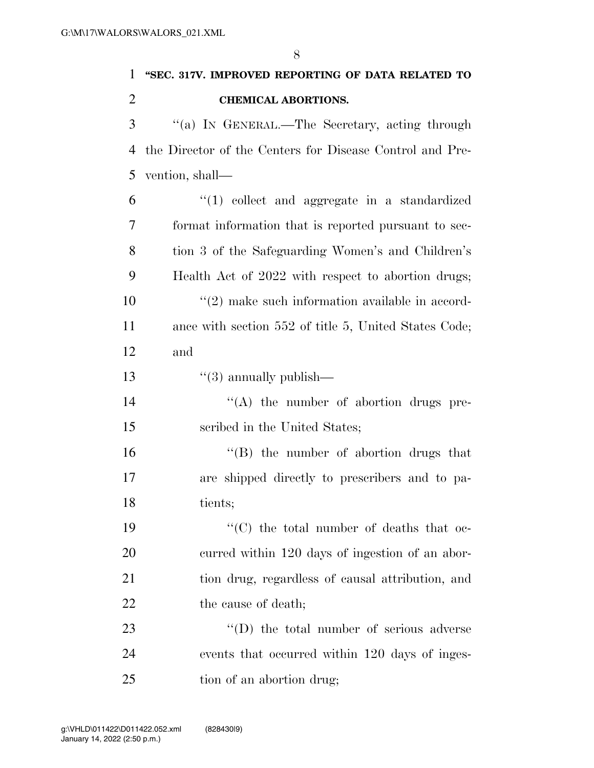| $\mathbf{1}$   | "SEC. 317V. IMPROVED REPORTING OF DATA RELATED TO        |
|----------------|----------------------------------------------------------|
| $\overline{2}$ | <b>CHEMICAL ABORTIONS.</b>                               |
| 3              | "(a) IN GENERAL.—The Secretary, acting through           |
| 4              | the Director of the Centers for Disease Control and Pre- |
| 5              | vention, shall—                                          |
| 6              | $"(1)$ collect and aggregate in a standardized           |
| 7              | format information that is reported pursuant to sec-     |
| 8              | tion 3 of the Safeguarding Women's and Children's        |
| 9              | Health Act of 2022 with respect to abortion drugs;       |
| 10             | $\lq(2)$ make such information available in accord-      |
| 11             | ance with section 552 of title 5, United States Code;    |
| 12             | and                                                      |
| 13             | $``(3)$ annually publish—                                |
| 14             | $\lq\lq$ the number of abortion drugs pre-               |
| 15             | scribed in the United States;                            |
| 16             | $\lq\lq$ the number of abortion drugs that               |
| 17             | are shipped directly to prescribers and to pa-           |
| 18             | tients;                                                  |
| 19             | "(C) the total number of deaths that oc-                 |
| 20             | curred within 120 days of ingestion of an abor-          |
| 21             | tion drug, regardless of causal attribution, and         |
| 22             | the cause of death;                                      |
| 23             | $\lq\lq$ the total number of serious adverse             |
| 24             | events that occurred within 120 days of inges-           |
| 25             | tion of an abortion drug;                                |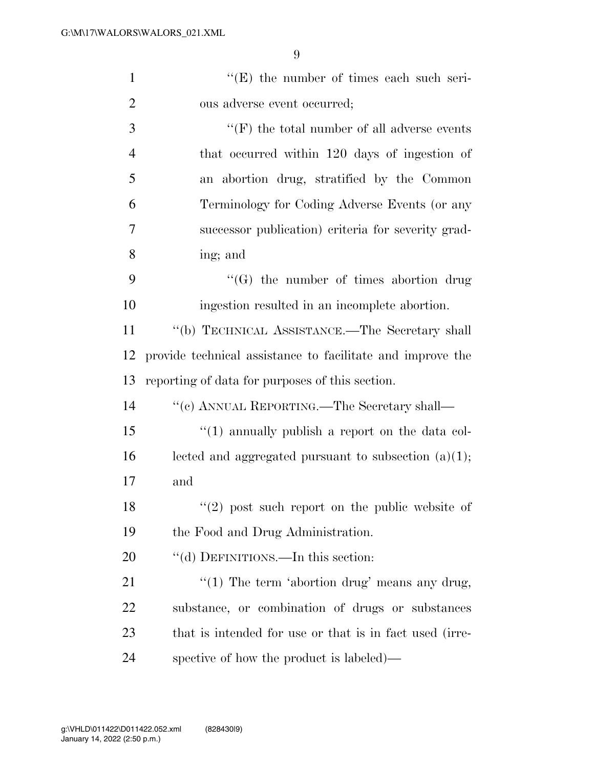| $\mathbf{1}$   | $\lq\lq(E)$ the number of times each such seri-            |
|----------------|------------------------------------------------------------|
| $\overline{2}$ | ous adverse event occurred;                                |
| 3              | "(F) the total number of all adverse events                |
| $\overline{4}$ | that occurred within 120 days of ingestion of              |
| 5              | an abortion drug, stratified by the Common                 |
| 6              | Terminology for Coding Adverse Events (or any              |
| 7              | successor publication) criteria for severity grad-         |
| 8              | ing; and                                                   |
| 9              | "(G) the number of times abortion drug                     |
| 10             | ingestion resulted in an incomplete abortion.              |
| 11             | "(b) TECHNICAL ASSISTANCE.—The Secretary shall             |
| 12             | provide technical assistance to facilitate and improve the |
| 13             | reporting of data for purposes of this section.            |
| 14             | "(c) ANNUAL REPORTING.—The Secretary shall—                |
| 15             | $\lq(1)$ annually publish a report on the data col-        |
| 16             | lected and aggregated pursuant to subsection $(a)(1)$ ;    |
| 17             | and                                                        |
| 18             | $(2)$ post such report on the public website of            |
| 19             | the Food and Drug Administration.                          |
| 20             | "(d) DEFINITIONS.—In this section:                         |
| 21             | " $(1)$ The term 'abortion drug' means any drug,           |
| 22             | substance, or combination of drugs or substances           |
| 23             | that is intended for use or that is in fact used (irre-    |
| 24             |                                                            |